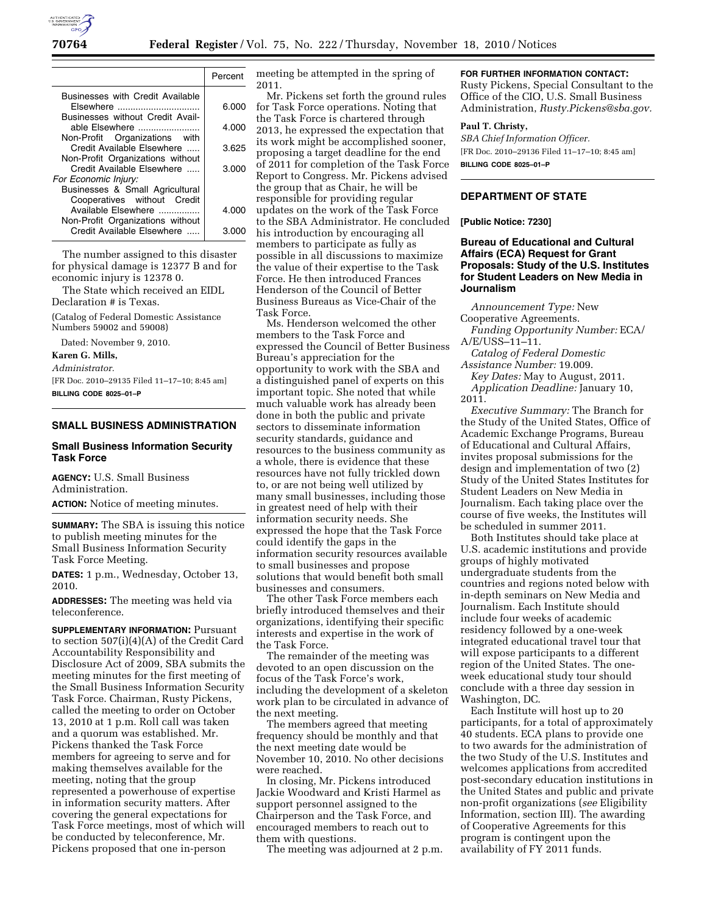

|                                                                                                 | Percent |
|-------------------------------------------------------------------------------------------------|---------|
| Businesses with Credit Available<br>Elsewhere                                                   | 6.000   |
| Businesses without Credit Avail-<br>able Elsewhere                                              | 4.000   |
| Non-Profit Organizations with<br>Credit Available Elsewhere<br>Non-Profit Organizations without | 3.625   |
| Credit Available Elsewhere<br>For Economic Injury:                                              | 3.000   |
| Businesses & Small Agricultural<br>Cooperatives without Credit                                  |         |
| Available Elsewhere<br>Non-Profit Organizations without                                         | 4.000   |
| Credit Available Elsewhere                                                                      | 3.000   |

The number assigned to this disaster for physical damage is 12377 B and for economic injury is 12378 0.

The State which received an EIDL Declaration # is Texas.

(Catalog of Federal Domestic Assistance Numbers 59002 and 59008)

Dated: November 9, 2010.

#### **Karen G. Mills,**

*Administrator.* 

[FR Doc. 2010–29135 Filed 11–17–10; 8:45 am] **BILLING CODE 8025–01–P** 

## **SMALL BUSINESS ADMINISTRATION**

#### **Small Business Information Security Task Force**

**AGENCY:** U.S. Small Business Administration.

**ACTION:** Notice of meeting minutes.

**SUMMARY:** The SBA is issuing this notice to publish meeting minutes for the Small Business Information Security Task Force Meeting.

**DATES:** 1 p.m., Wednesday, October 13, 2010.

**ADDRESSES:** The meeting was held via teleconference.

**SUPPLEMENTARY INFORMATION:** Pursuant to section 507(i)(4)(A) of the Credit Card Accountability Responsibility and Disclosure Act of 2009, SBA submits the meeting minutes for the first meeting of the Small Business Information Security Task Force. Chairman, Rusty Pickens, called the meeting to order on October 13, 2010 at 1 p.m. Roll call was taken and a quorum was established. Mr. Pickens thanked the Task Force members for agreeing to serve and for making themselves available for the meeting, noting that the group represented a powerhouse of expertise in information security matters. After covering the general expectations for Task Force meetings, most of which will be conducted by teleconference, Mr. Pickens proposed that one in-person

meeting be attempted in the spring of 2011.

Mr. Pickens set forth the ground rules for Task Force operations. Noting that the Task Force is chartered through 2013, he expressed the expectation that its work might be accomplished sooner, proposing a target deadline for the end of 2011 for completion of the Task Force Report to Congress. Mr. Pickens advised the group that as Chair, he will be responsible for providing regular updates on the work of the Task Force to the SBA Administrator. He concluded his introduction by encouraging all members to participate as fully as possible in all discussions to maximize the value of their expertise to the Task Force. He then introduced Frances Henderson of the Council of Better Business Bureaus as Vice-Chair of the Task Force.

Ms. Henderson welcomed the other members to the Task Force and expressed the Council of Better Business Bureau's appreciation for the opportunity to work with the SBA and a distinguished panel of experts on this important topic. She noted that while much valuable work has already been done in both the public and private sectors to disseminate information security standards, guidance and resources to the business community as a whole, there is evidence that these resources have not fully trickled down to, or are not being well utilized by many small businesses, including those in greatest need of help with their information security needs. She expressed the hope that the Task Force could identify the gaps in the information security resources available to small businesses and propose solutions that would benefit both small businesses and consumers.

The other Task Force members each briefly introduced themselves and their organizations, identifying their specific interests and expertise in the work of the Task Force.

The remainder of the meeting was devoted to an open discussion on the focus of the Task Force's work, including the development of a skeleton work plan to be circulated in advance of the next meeting.

The members agreed that meeting frequency should be monthly and that the next meeting date would be November 10, 2010. No other decisions were reached.

In closing, Mr. Pickens introduced Jackie Woodward and Kristi Harmel as support personnel assigned to the Chairperson and the Task Force, and encouraged members to reach out to them with questions.

The meeting was adjourned at 2 p.m.

### **FOR FURTHER INFORMATION CONTACT:**

Rusty Pickens, Special Consultant to the Office of the CIO, U.S. Small Business Administration, *[Rusty.Pickens@sba.gov.](mailto:Rusty.Pickens@sba.gov)* 

#### **Paul T. Christy,**

*SBA Chief Information Officer.*  [FR Doc. 2010–29136 Filed 11–17–10; 8:45 am] **BILLING CODE 8025–01–P** 

# **DEPARTMENT OF STATE**

**[Public Notice: 7230]** 

### **Bureau of Educational and Cultural Affairs (ECA) Request for Grant Proposals: Study of the U.S. Institutes for Student Leaders on New Media in Journalism**

*Announcement Type:* New Cooperative Agreements.

*Funding Opportunity Number:* ECA/ A/E/USS–11–11.

*Catalog of Federal Domestic Assistance Number:* 19.009.

*Key Dates:* May to August, 2011. *Application Deadline:* January 10, 2011.

*Executive Summary:* The Branch for the Study of the United States, Office of Academic Exchange Programs, Bureau of Educational and Cultural Affairs, invites proposal submissions for the design and implementation of two (2) Study of the United States Institutes for Student Leaders on New Media in Journalism. Each taking place over the course of five weeks, the Institutes will be scheduled in summer 2011.

Both Institutes should take place at U.S. academic institutions and provide groups of highly motivated undergraduate students from the countries and regions noted below with in-depth seminars on New Media and Journalism. Each Institute should include four weeks of academic residency followed by a one-week integrated educational travel tour that will expose participants to a different region of the United States. The oneweek educational study tour should conclude with a three day session in Washington, DC.

Each Institute will host up to 20 participants, for a total of approximately 40 students. ECA plans to provide one to two awards for the administration of the two Study of the U.S. Institutes and welcomes applications from accredited post-secondary education institutions in the United States and public and private non-profit organizations (*see* Eligibility Information, section III). The awarding of Cooperative Agreements for this program is contingent upon the availability of FY 2011 funds.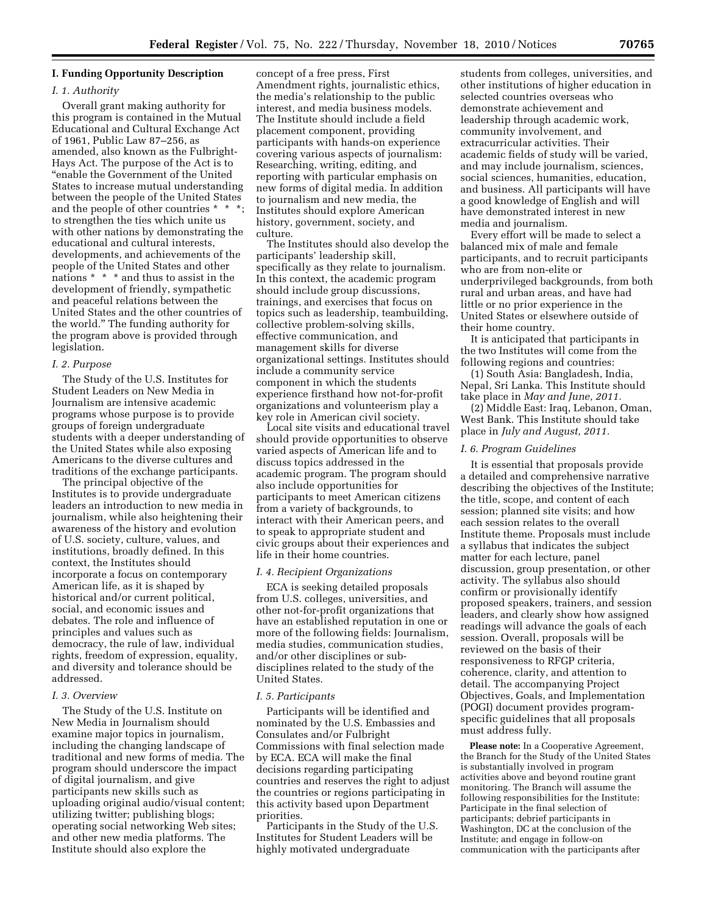## **I. Funding Opportunity Description**

#### *I. 1. Authority*

Overall grant making authority for this program is contained in the Mutual Educational and Cultural Exchange Act of 1961, Public Law 87–256, as amended, also known as the Fulbright-Hays Act. The purpose of the Act is to ''enable the Government of the United States to increase mutual understanding between the people of the United States and the people of other countries \* \* \*; to strengthen the ties which unite us with other nations by demonstrating the educational and cultural interests, developments, and achievements of the people of the United States and other nations \* \* \* and thus to assist in the development of friendly, sympathetic and peaceful relations between the United States and the other countries of the world.'' The funding authority for the program above is provided through legislation.

#### *I. 2. Purpose*

The Study of the U.S. Institutes for Student Leaders on New Media in Journalism are intensive academic programs whose purpose is to provide groups of foreign undergraduate students with a deeper understanding of the United States while also exposing Americans to the diverse cultures and traditions of the exchange participants.

The principal objective of the Institutes is to provide undergraduate leaders an introduction to new media in journalism, while also heightening their awareness of the history and evolution of U.S. society, culture, values, and institutions, broadly defined. In this context, the Institutes should incorporate a focus on contemporary American life, as it is shaped by historical and/or current political, social, and economic issues and debates. The role and influence of principles and values such as democracy, the rule of law, individual rights, freedom of expression, equality, and diversity and tolerance should be addressed.

### *I. 3. Overview*

The Study of the U.S. Institute on New Media in Journalism should examine major topics in journalism, including the changing landscape of traditional and new forms of media. The program should underscore the impact of digital journalism, and give participants new skills such as uploading original audio/visual content; utilizing twitter; publishing blogs; operating social networking Web sites; and other new media platforms. The Institute should also explore the

concept of a free press, First Amendment rights, journalistic ethics, the media's relationship to the public interest, and media business models. The Institute should include a field placement component, providing participants with hands-on experience covering various aspects of journalism: Researching, writing, editing, and reporting with particular emphasis on new forms of digital media. In addition to journalism and new media, the Institutes should explore American history, government, society, and culture.

The Institutes should also develop the participants' leadership skill, specifically as they relate to journalism. In this context, the academic program should include group discussions, trainings, and exercises that focus on topics such as leadership, teambuilding, collective problem-solving skills, effective communication, and management skills for diverse organizational settings. Institutes should include a community service component in which the students experience firsthand how not-for-profit organizations and volunteerism play a key role in American civil society.

Local site visits and educational travel should provide opportunities to observe varied aspects of American life and to discuss topics addressed in the academic program. The program should also include opportunities for participants to meet American citizens from a variety of backgrounds, to interact with their American peers, and to speak to appropriate student and civic groups about their experiences and life in their home countries.

#### *I. 4. Recipient Organizations*

ECA is seeking detailed proposals from U.S. colleges, universities, and other not-for-profit organizations that have an established reputation in one or more of the following fields: Journalism, media studies, communication studies, and/or other disciplines or subdisciplines related to the study of the United States.

#### *I. 5. Participants*

Participants will be identified and nominated by the U.S. Embassies and Consulates and/or Fulbright Commissions with final selection made by ECA. ECA will make the final decisions regarding participating countries and reserves the right to adjust the countries or regions participating in this activity based upon Department priorities.

Participants in the Study of the U.S. Institutes for Student Leaders will be highly motivated undergraduate

students from colleges, universities, and other institutions of higher education in selected countries overseas who demonstrate achievement and leadership through academic work, community involvement, and extracurricular activities. Their academic fields of study will be varied, and may include journalism, sciences, social sciences, humanities, education, and business. All participants will have a good knowledge of English and will have demonstrated interest in new media and journalism.

Every effort will be made to select a balanced mix of male and female participants, and to recruit participants who are from non-elite or underprivileged backgrounds, from both rural and urban areas, and have had little or no prior experience in the United States or elsewhere outside of their home country.

It is anticipated that participants in the two Institutes will come from the following regions and countries:

(1) South Asia: Bangladesh, India, Nepal, Sri Lanka. This Institute should take place in *May and June, 2011.* 

(2) Middle East: Iraq, Lebanon, Oman, West Bank. This Institute should take place in *July and August, 2011.* 

#### *I. 6. Program Guidelines*

It is essential that proposals provide a detailed and comprehensive narrative describing the objectives of the Institute; the title, scope, and content of each session; planned site visits; and how each session relates to the overall Institute theme. Proposals must include a syllabus that indicates the subject matter for each lecture, panel discussion, group presentation, or other activity. The syllabus also should confirm or provisionally identify proposed speakers, trainers, and session leaders, and clearly show how assigned readings will advance the goals of each session. Overall, proposals will be reviewed on the basis of their responsiveness to RFGP criteria, coherence, clarity, and attention to detail. The accompanying Project Objectives, Goals, and Implementation (POGI) document provides programspecific guidelines that all proposals must address fully.

**Please note:** In a Cooperative Agreement, the Branch for the Study of the United States is substantially involved in program activities above and beyond routine grant monitoring. The Branch will assume the following responsibilities for the Institute: Participate in the final selection of participants; debrief participants in Washington, DC at the conclusion of the Institute; and engage in follow-on communication with the participants after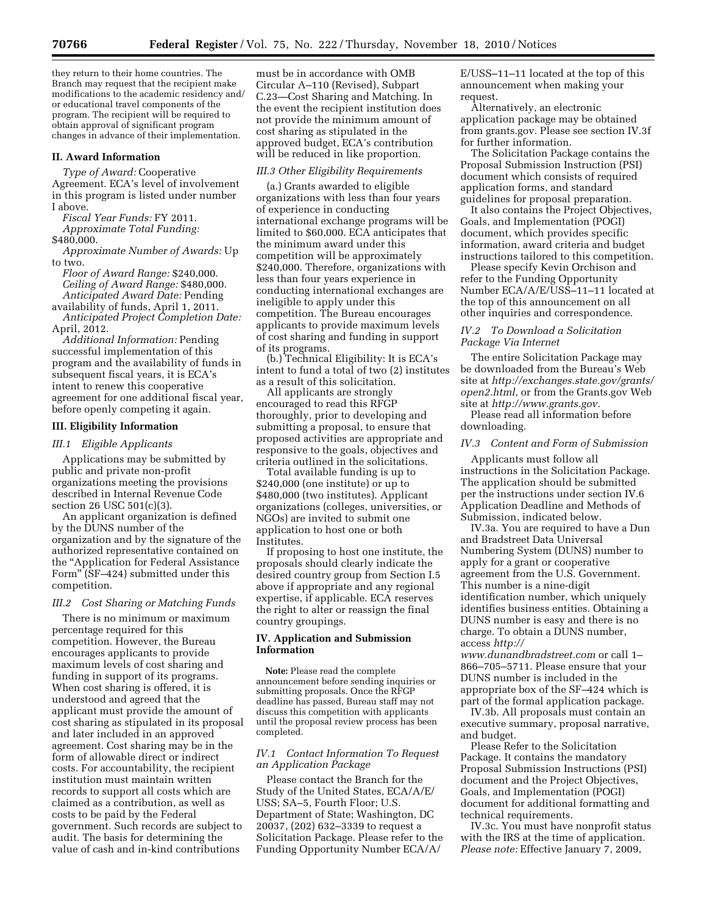they return to their home countries. The Branch may request that the recipient make modifications to the academic residency and/ or educational travel components of the program. The recipient will be required to obtain approval of significant program changes in advance of their implementation.

### **II. Award Information**

*Type of Award:* Cooperative Agreement. ECA's level of involvement in this program is listed under number I above.

*Fiscal Year Funds:* FY 2011.

*Approximate Total Funding:*  \$480,000.

*Approximate Number of Awards:* Up to two.

*Floor of Award Range:* \$240,000. *Ceiling of Award Range:* \$480,000. *Anticipated Award Date:* Pending availability of funds, April 1, 2011.

*Anticipated Project Completion Date:*  April, 2012.

*Additional Information:* Pending successful implementation of this program and the availability of funds in subsequent fiscal years, it is ECA's intent to renew this cooperative agreement for one additional fiscal year, before openly competing it again.

### **III. Eligibility Information**

### *III.1 Eligible Applicants*

Applications may be submitted by public and private non-profit organizations meeting the provisions described in Internal Revenue Code section 26 USC 501(c)(3).

An applicant organization is defined by the DUNS number of the organization and by the signature of the authorized representative contained on the ''Application for Federal Assistance Form'' (SF–424) submitted under this competition.

### *III.2 Cost Sharing or Matching Funds*

There is no minimum or maximum percentage required for this competition. However, the Bureau encourages applicants to provide maximum levels of cost sharing and funding in support of its programs. When cost sharing is offered, it is understood and agreed that the applicant must provide the amount of cost sharing as stipulated in its proposal and later included in an approved agreement. Cost sharing may be in the form of allowable direct or indirect costs. For accountability, the recipient institution must maintain written records to support all costs which are claimed as a contribution, as well as costs to be paid by the Federal government. Such records are subject to audit. The basis for determining the value of cash and in-kind contributions

must be in accordance with OMB Circular A–110 (Revised), Subpart C.23—Cost Sharing and Matching. In the event the recipient institution does not provide the minimum amount of cost sharing as stipulated in the approved budget, ECA's contribution will be reduced in like proportion.

### *III.3 Other Eligibility Requirements*

(a.) Grants awarded to eligible organizations with less than four years of experience in conducting international exchange programs will be limited to \$60,000. ECA anticipates that the minimum award under this competition will be approximately \$240,000. Therefore, organizations with less than four years experience in conducting international exchanges are ineligible to apply under this competition. The Bureau encourages applicants to provide maximum levels of cost sharing and funding in support of its programs.

(b.) Technical Eligibility: It is ECA's intent to fund a total of two (2) institutes as a result of this solicitation.

All applicants are strongly encouraged to read this RFGP thoroughly, prior to developing and submitting a proposal, to ensure that proposed activities are appropriate and responsive to the goals, objectives and criteria outlined in the solicitations.

Total available funding is up to \$240,000 (one institute) or up to \$480,000 (two institutes). Applicant organizations (colleges, universities, or NGOs) are invited to submit one application to host one or both Institutes.

If proposing to host one institute, the proposals should clearly indicate the desired country group from Section I.5 above if appropriate and any regional expertise, if applicable. ECA reserves the right to alter or reassign the final country groupings.

### **IV. Application and Submission Information**

**Note:** Please read the complete announcement before sending inquiries or submitting proposals. Once the RFGP deadline has passed, Bureau staff may not discuss this competition with applicants until the proposal review process has been completed.

### *IV.1 Contact Information To Request an Application Package*

Please contact the Branch for the Study of the United States, ECA/A/E/ USS; SA–5, Fourth Floor; U.S. Department of State; Washington, DC 20037, (202) 632–3339 to request a Solicitation Package. Please refer to the Funding Opportunity Number ECA/A/

E/USS–11–11 located at the top of this announcement when making your request.

Alternatively, an electronic application package may be obtained from grants.gov. Please see section IV.3f for further information.

The Solicitation Package contains the Proposal Submission Instruction (PSI) document which consists of required application forms, and standard guidelines for proposal preparation.

It also contains the Project Objectives, Goals, and Implementation (POGI) document, which provides specific information, award criteria and budget instructions tailored to this competition.

Please specify Kevin Orchison and refer to the Funding Opportunity Number ECA/A/E/USS-11-11 located at the top of this announcement on all other inquiries and correspondence.

### *IV.2 To Download a Solicitation Package Via Internet*

The entire Solicitation Package may be downloaded from the Bureau's Web site at *[http://exchanges.state.gov/grants/](http://exchanges.state.gov/grants/open2.html)  [open2.html,](http://exchanges.state.gov/grants/open2.html)* or from the Grants.gov Web site at *[http://www.grants.gov.](http://www.grants.gov)* 

Please read all information before downloading.

#### *IV.3 Content and Form of Submission*

Applicants must follow all instructions in the Solicitation Package. The application should be submitted per the instructions under section IV.6 Application Deadline and Methods of Submission, indicated below.

IV.3a. You are required to have a Dun and Bradstreet Data Universal Numbering System (DUNS) number to apply for a grant or cooperative agreement from the U.S. Government. This number is a nine-digit identification number, which uniquely identifies business entities. Obtaining a DUNS number is easy and there is no charge. To obtain a DUNS number, access *[http://](http://www.dunandbradstreet.com)* 

*[www.dunandbradstreet.com](http://www.dunandbradstreet.com)* or call 1– 866–705–5711. Please ensure that your DUNS number is included in the appropriate box of the SF–424 which is part of the formal application package.

IV.3b. All proposals must contain an executive summary, proposal narrative, and budget.

Please Refer to the Solicitation Package. It contains the mandatory Proposal Submission Instructions (PSI) document and the Project Objectives, Goals, and Implementation (POGI) document for additional formatting and technical requirements.

IV.3c. You must have nonprofit status with the IRS at the time of application. *Please note:* Effective January 7, 2009,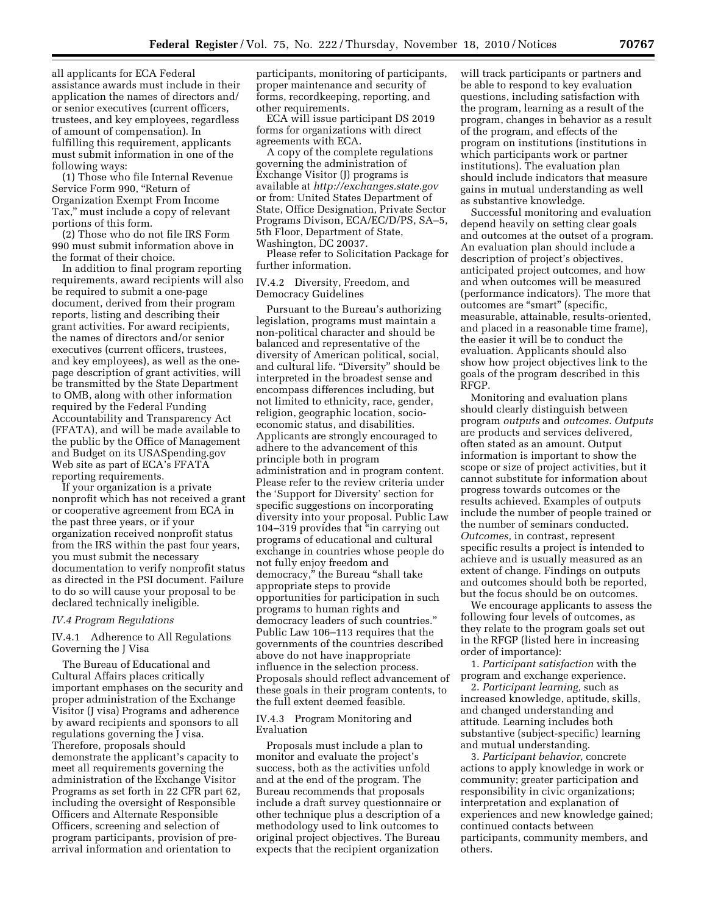all applicants for ECA Federal assistance awards must include in their application the names of directors and/ or senior executives (current officers, trustees, and key employees, regardless of amount of compensation). In fulfilling this requirement, applicants must submit information in one of the following ways:

(1) Those who file Internal Revenue Service Form 990, "Return of Organization Exempt From Income Tax,'' must include a copy of relevant portions of this form.

(2) Those who do not file IRS Form 990 must submit information above in the format of their choice.

In addition to final program reporting requirements, award recipients will also be required to submit a one-page document, derived from their program reports, listing and describing their grant activities. For award recipients, the names of directors and/or senior executives (current officers, trustees, and key employees), as well as the onepage description of grant activities, will be transmitted by the State Department to OMB, along with other information required by the Federal Funding Accountability and Transparency Act (FFATA), and will be made available to the public by the Office of Management and Budget on its USASpending.gov Web site as part of ECA's FFATA reporting requirements.

If your organization is a private nonprofit which has not received a grant or cooperative agreement from ECA in the past three years, or if your organization received nonprofit status from the IRS within the past four years, you must submit the necessary documentation to verify nonprofit status as directed in the PSI document. Failure to do so will cause your proposal to be declared technically ineligible.

#### *IV.4 Program Regulations*

#### IV.4.1 Adherence to All Regulations Governing the J Visa

The Bureau of Educational and Cultural Affairs places critically important emphases on the security and proper administration of the Exchange Visitor (J visa) Programs and adherence by award recipients and sponsors to all regulations governing the J visa. Therefore, proposals should demonstrate the applicant's capacity to meet all requirements governing the administration of the Exchange Visitor Programs as set forth in 22 CFR part 62, including the oversight of Responsible Officers and Alternate Responsible Officers, screening and selection of program participants, provision of prearrival information and orientation to

participants, monitoring of participants, proper maintenance and security of forms, recordkeeping, reporting, and other requirements.

ECA will issue participant DS 2019 forms for organizations with direct agreements with ECA.

A copy of the complete regulations governing the administration of Exchange Visitor (J) programs is available at *<http://exchanges.state.gov>* or from: United States Department of State, Office Designation, Private Sector Programs Divison, ECA/EC/D/PS, SA–5, 5th Floor, Department of State, Washington, DC 20037.

Please refer to Solicitation Package for further information.

#### IV.4.2 Diversity, Freedom, and Democracy Guidelines

Pursuant to the Bureau's authorizing legislation, programs must maintain a non-political character and should be balanced and representative of the diversity of American political, social, and cultural life. "Diversity" should be interpreted in the broadest sense and encompass differences including, but not limited to ethnicity, race, gender, religion, geographic location, socioeconomic status, and disabilities. Applicants are strongly encouraged to adhere to the advancement of this principle both in program administration and in program content. Please refer to the review criteria under the 'Support for Diversity' section for specific suggestions on incorporating diversity into your proposal. Public Law 104–319 provides that ''in carrying out programs of educational and cultural exchange in countries whose people do not fully enjoy freedom and democracy,'' the Bureau ''shall take appropriate steps to provide opportunities for participation in such programs to human rights and democracy leaders of such countries.'' Public Law 106–113 requires that the governments of the countries described above do not have inappropriate influence in the selection process. Proposals should reflect advancement of these goals in their program contents, to the full extent deemed feasible.

### IV.4.3 Program Monitoring and Evaluation

Proposals must include a plan to monitor and evaluate the project's success, both as the activities unfold and at the end of the program. The Bureau recommends that proposals include a draft survey questionnaire or other technique plus a description of a methodology used to link outcomes to original project objectives. The Bureau expects that the recipient organization

will track participants or partners and be able to respond to key evaluation questions, including satisfaction with the program, learning as a result of the program, changes in behavior as a result of the program, and effects of the program on institutions (institutions in which participants work or partner institutions). The evaluation plan should include indicators that measure gains in mutual understanding as well as substantive knowledge.

Successful monitoring and evaluation depend heavily on setting clear goals and outcomes at the outset of a program. An evaluation plan should include a description of project's objectives, anticipated project outcomes, and how and when outcomes will be measured (performance indicators). The more that outcomes are "smart" (specific, measurable, attainable, results-oriented, and placed in a reasonable time frame), the easier it will be to conduct the evaluation. Applicants should also show how project objectives link to the goals of the program described in this RFGP.

Monitoring and evaluation plans should clearly distinguish between program *outputs* and *outcomes. Outputs*  are products and services delivered, often stated as an amount. Output information is important to show the scope or size of project activities, but it cannot substitute for information about progress towards outcomes or the results achieved. Examples of outputs include the number of people trained or the number of seminars conducted. *Outcomes,* in contrast, represent specific results a project is intended to achieve and is usually measured as an extent of change. Findings on outputs and outcomes should both be reported, but the focus should be on outcomes.

We encourage applicants to assess the following four levels of outcomes, as they relate to the program goals set out in the RFGP (listed here in increasing order of importance):

1. *Participant satisfaction* with the program and exchange experience.

2. *Participant learning,* such as increased knowledge, aptitude, skills, and changed understanding and attitude. Learning includes both substantive (subject-specific) learning and mutual understanding.

3. *Participant behavior,* concrete actions to apply knowledge in work or community; greater participation and responsibility in civic organizations; interpretation and explanation of experiences and new knowledge gained; continued contacts between participants, community members, and others.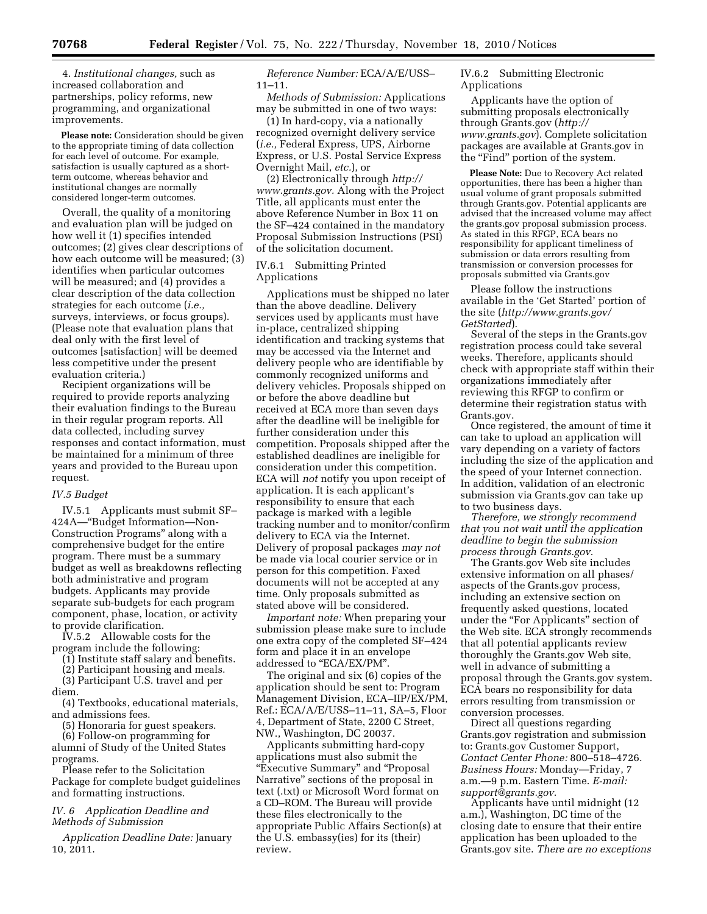4. *Institutional changes,* such as increased collaboration and partnerships, policy reforms, new programming, and organizational improvements.

**Please note:** Consideration should be given to the appropriate timing of data collection for each level of outcome. For example, satisfaction is usually captured as a shortterm outcome, whereas behavior and institutional changes are normally considered longer-term outcomes.

Overall, the quality of a monitoring and evaluation plan will be judged on how well it (1) specifies intended outcomes; (2) gives clear descriptions of how each outcome will be measured; (3) identifies when particular outcomes will be measured; and (4) provides a clear description of the data collection strategies for each outcome (*i.e.,*  surveys, interviews, or focus groups). (Please note that evaluation plans that deal only with the first level of outcomes [satisfaction] will be deemed less competitive under the present evaluation criteria.)

Recipient organizations will be required to provide reports analyzing their evaluation findings to the Bureau in their regular program reports. All data collected, including survey responses and contact information, must be maintained for a minimum of three years and provided to the Bureau upon request.

#### *IV.5 Budget*

IV.5.1 Applicants must submit SF– 424A—''Budget Information—Non-Construction Programs'' along with a comprehensive budget for the entire program. There must be a summary budget as well as breakdowns reflecting both administrative and program budgets. Applicants may provide separate sub-budgets for each program component, phase, location, or activity to provide clarification.

IV.5.2 Allowable costs for the program include the following:

(1) Institute staff salary and benefits.

(2) Participant housing and meals. (3) Participant U.S. travel and per

diem.

(4) Textbooks, educational materials, and admissions fees.

(5) Honoraria for guest speakers.

(6) Follow-on programming for alumni of Study of the United States programs.

Please refer to the Solicitation Package for complete budget guidelines and formatting instructions.

*IV. 6 Application Deadline and Methods of Submission* 

*Application Deadline Date:* January 10, 2011.

*Reference Number:* ECA/A/E/USS– 11–11.

*Methods of Submission:* Applications may be submitted in one of two ways:

(1) In hard-copy, via a nationally recognized overnight delivery service (*i.e.,* Federal Express, UPS, Airborne Express, or U.S. Postal Service Express Overnight Mail, *etc.*), or

(2) Electronically through *[http://](http://www.grants.gov)  [www.grants.gov.](http://www.grants.gov)* Along with the Project Title, all applicants must enter the above Reference Number in Box 11 on the SF–424 contained in the mandatory Proposal Submission Instructions (PSI) of the solicitation document.

### IV.6.1 Submitting Printed Applications

Applications must be shipped no later than the above deadline. Delivery services used by applicants must have in-place, centralized shipping identification and tracking systems that may be accessed via the Internet and delivery people who are identifiable by commonly recognized uniforms and delivery vehicles. Proposals shipped on or before the above deadline but received at ECA more than seven days after the deadline will be ineligible for further consideration under this competition. Proposals shipped after the established deadlines are ineligible for consideration under this competition. ECA will *not* notify you upon receipt of application. It is each applicant's responsibility to ensure that each package is marked with a legible tracking number and to monitor/confirm delivery to ECA via the Internet. Delivery of proposal packages *may not*  be made via local courier service or in person for this competition. Faxed documents will not be accepted at any time. Only proposals submitted as stated above will be considered.

*Important note:* When preparing your submission please make sure to include one extra copy of the completed SF–424 form and place it in an envelope addressed to "ECA/EX/PM".

The original and six (6) copies of the application should be sent to: Program Management Division, ECA–IIP/EX/PM, Ref.: ECA/A/E/USS–11–11, SA–5, Floor 4, Department of State, 2200 C Street, NW., Washington, DC 20037.

Applicants submitting hard-copy applications must also submit the "Executive Summary" and "Proposal Narrative'' sections of the proposal in text (.txt) or Microsoft Word format on a CD–ROM. The Bureau will provide these files electronically to the appropriate Public Affairs Section(s) at the U.S. embassy(ies) for its (their) review.

IV.6.2 Submitting Electronic Applications

Applicants have the option of submitting proposals electronically through Grants.gov (*[http://](http://www.grants.gov)  [www.grants.gov](http://www.grants.gov)*). Complete solicitation packages are available at Grants.gov in the "Find" portion of the system.

**Please Note:** Due to Recovery Act related opportunities, there has been a higher than usual volume of grant proposals submitted through Grants.gov. Potential applicants are advised that the increased volume may affect the grants.gov proposal submission process. As stated in this RFGP, ECA bears no responsibility for applicant timeliness of submission or data errors resulting from transmission or conversion processes for proposals submitted via Grants.gov

Please follow the instructions available in the 'Get Started' portion of the site (*[http://www.grants.gov/](http://www.grants.gov/GetStarted)  [GetStarted](http://www.grants.gov/GetStarted)*).

Several of the steps in the Grants.gov registration process could take several weeks. Therefore, applicants should check with appropriate staff within their organizations immediately after reviewing this RFGP to confirm or determine their registration status with Grants.gov.

Once registered, the amount of time it can take to upload an application will vary depending on a variety of factors including the size of the application and the speed of your Internet connection. In addition, validation of an electronic submission via Grants.gov can take up to two business days.

*Therefore, we strongly recommend that you not wait until the application deadline to begin the submission process through Grants.gov*.

The Grants.gov Web site includes extensive information on all phases/ aspects of the Grants.gov process, including an extensive section on frequently asked questions, located under the "For Applicants" section of the Web site. ECA strongly recommends that all potential applicants review thoroughly the Grants.gov Web site, well in advance of submitting a proposal through the Grants.gov system. ECA bears no responsibility for data errors resulting from transmission or conversion processes.

Direct all questions regarding Grants.gov registration and submission to: Grants.gov Customer Support, *Contact Center Phone:* 800–518–4726. *Business Hours:* Monday—Friday, 7 a.m.—9 p.m. Eastern Time. *E-mail: [support@grants.gov](mailto:support@grants.gov)*.

Applicants have until midnight (12 a.m.), Washington, DC time of the closing date to ensure that their entire application has been uploaded to the Grants.gov site. *There are no exceptions*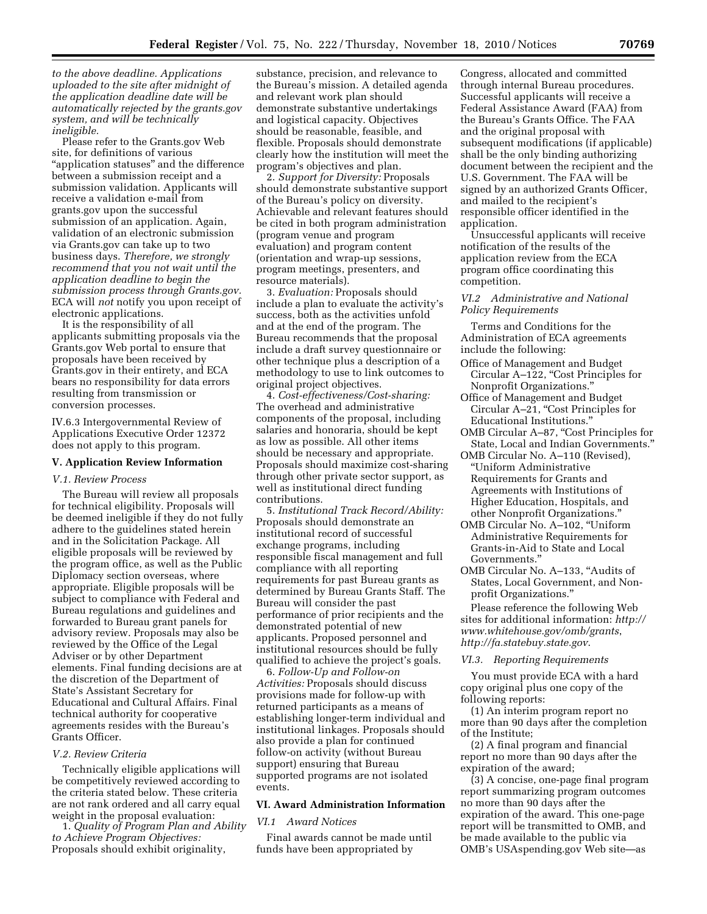*to the above deadline. Applications uploaded to the site after midnight of the application deadline date will be automatically rejected by the grants.gov system, and will be technically ineligible.* 

Please refer to the Grants.gov Web site, for definitions of various ''application statuses'' and the difference between a submission receipt and a submission validation. Applicants will receive a validation e-mail from grants.gov upon the successful submission of an application. Again, validation of an electronic submission via Grants.gov can take up to two business days. *Therefore, we strongly recommend that you not wait until the application deadline to begin the submission process through Grants.gov.*  ECA will *not* notify you upon receipt of electronic applications.

It is the responsibility of all applicants submitting proposals via the Grants.gov Web portal to ensure that proposals have been received by Grants.gov in their entirety, and ECA bears no responsibility for data errors resulting from transmission or conversion processes.

IV.6.3 Intergovernmental Review of Applications Executive Order 12372 does not apply to this program.

#### **V. Application Review Information**

#### *V.1. Review Process*

The Bureau will review all proposals for technical eligibility. Proposals will be deemed ineligible if they do not fully adhere to the guidelines stated herein and in the Solicitation Package. All eligible proposals will be reviewed by the program office, as well as the Public Diplomacy section overseas, where appropriate. Eligible proposals will be subject to compliance with Federal and Bureau regulations and guidelines and forwarded to Bureau grant panels for advisory review. Proposals may also be reviewed by the Office of the Legal Adviser or by other Department elements. Final funding decisions are at the discretion of the Department of State's Assistant Secretary for Educational and Cultural Affairs. Final technical authority for cooperative agreements resides with the Bureau's Grants Officer.

#### *V.2. Review Criteria*

Technically eligible applications will be competitively reviewed according to the criteria stated below. These criteria are not rank ordered and all carry equal weight in the proposal evaluation:

1. *Quality of Program Plan and Ability to Achieve Program Objectives:*  Proposals should exhibit originality,

substance, precision, and relevance to the Bureau's mission. A detailed agenda and relevant work plan should demonstrate substantive undertakings and logistical capacity. Objectives should be reasonable, feasible, and flexible. Proposals should demonstrate clearly how the institution will meet the program's objectives and plan.

2. *Support for Diversity:* Proposals should demonstrate substantive support of the Bureau's policy on diversity. Achievable and relevant features should be cited in both program administration (program venue and program evaluation) and program content (orientation and wrap-up sessions, program meetings, presenters, and resource materials).

3. *Evaluation:* Proposals should include a plan to evaluate the activity's success, both as the activities unfold and at the end of the program. The Bureau recommends that the proposal include a draft survey questionnaire or other technique plus a description of a methodology to use to link outcomes to original project objectives.

4. *Cost-effectiveness/Cost-sharing:*  The overhead and administrative components of the proposal, including salaries and honoraria, should be kept as low as possible. All other items should be necessary and appropriate. Proposals should maximize cost-sharing through other private sector support, as well as institutional direct funding contributions.

5. *Institutional Track Record/Ability:*  Proposals should demonstrate an institutional record of successful exchange programs, including responsible fiscal management and full compliance with all reporting requirements for past Bureau grants as determined by Bureau Grants Staff. The Bureau will consider the past performance of prior recipients and the demonstrated potential of new applicants. Proposed personnel and institutional resources should be fully qualified to achieve the project's goals.

6. *Follow-Up and Follow-on Activities:* Proposals should discuss provisions made for follow-up with returned participants as a means of establishing longer-term individual and institutional linkages. Proposals should also provide a plan for continued follow-on activity (without Bureau support) ensuring that Bureau supported programs are not isolated events.

#### **VI. Award Administration Information**

### *VI.1 Award Notices*

Final awards cannot be made until funds have been appropriated by

Congress, allocated and committed through internal Bureau procedures. Successful applicants will receive a Federal Assistance Award (FAA) from the Bureau's Grants Office. The FAA and the original proposal with subsequent modifications (if applicable) shall be the only binding authorizing document between the recipient and the U.S. Government. The FAA will be signed by an authorized Grants Officer, and mailed to the recipient's responsible officer identified in the application.

Unsuccessful applicants will receive notification of the results of the application review from the ECA program office coordinating this competition.

### *VI.2 Administrative and National Policy Requirements*

Terms and Conditions for the Administration of ECA agreements include the following:

- Office of Management and Budget Circular A-122, "Cost Principles for Nonprofit Organizations.''
- Office of Management and Budget Circular A-21, "Cost Principles for Educational Institutions.''
- OMB Circular A–87, ''Cost Principles for State, Local and Indian Governments.''
- OMB Circular No. A–110 (Revised), ''Uniform Administrative Requirements for Grants and Agreements with Institutions of Higher Education, Hospitals, and other Nonprofit Organizations.''
- OMB Circular No. A–102, ''Uniform Administrative Requirements for Grants-in-Aid to State and Local Governments.''
- OMB Circular No. A–133, ''Audits of States, Local Government, and Nonprofit Organizations.''

Please reference the following Web sites for additional information: *[http://](http://www.whitehouse.gov/omb/grants) [www.whitehouse.gov/omb/grants](http://www.whitehouse.gov/omb/grants)*, *http://fa.statebuy.state.gov*.

*VI.3. Reporting Requirements* 

You must provide ECA with a hard copy original plus one copy of the following reports:

(1) An interim program report no more than 90 days after the completion of the Institute;

(2) A final program and financial report no more than 90 days after the expiration of the award;

(3) A concise, one-page final program report summarizing program outcomes no more than 90 days after the expiration of the award. This one-page report will be transmitted to OMB, and be made available to the public via OMB's USAspending.gov Web site—as